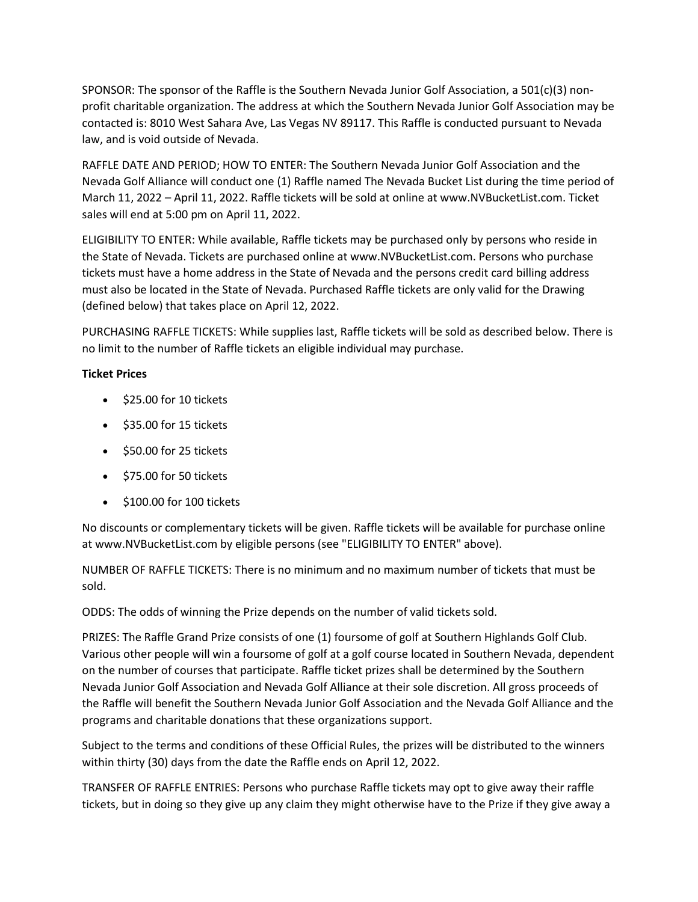SPONSOR: The sponsor of the Raffle is the Southern Nevada Junior Golf Association, a 501(c)(3) nonprofit charitable organization. The address at which the Southern Nevada Junior Golf Association may be contacted is: 8010 West Sahara Ave, Las Vegas NV 89117. This Raffle is conducted pursuant to Nevada law, and is void outside of Nevada.

RAFFLE DATE AND PERIOD; HOW TO ENTER: The Southern Nevada Junior Golf Association and the Nevada Golf Alliance will conduct one (1) Raffle named The Nevada Bucket List during the time period of March 11, 2022 – April 11, 2022. Raffle tickets will be sold at online at www.NVBucketList.com. Ticket sales will end at 5:00 pm on April 11, 2022.

ELIGIBILITY TO ENTER: While available, Raffle tickets may be purchased only by persons who reside in the State of Nevada. Tickets are purchased online at www.NVBucketList.com. Persons who purchase tickets must have a home address in the State of Nevada and the persons credit card billing address must also be located in the State of Nevada. Purchased Raffle tickets are only valid for the Drawing (defined below) that takes place on April 12, 2022.

PURCHASING RAFFLE TICKETS: While supplies last, Raffle tickets will be sold as described below. There is no limit to the number of Raffle tickets an eligible individual may purchase.

## **Ticket Prices**

- \$25.00 for 10 tickets
- \$35.00 for 15 tickets
- \$50.00 for 25 tickets
- \$75.00 for 50 tickets
- \$100.00 for 100 tickets

No discounts or complementary tickets will be given. Raffle tickets will be available for purchase online at www.NVBucketList.com by eligible persons (see "ELIGIBILITY TO ENTER" above).

NUMBER OF RAFFLE TICKETS: There is no minimum and no maximum number of tickets that must be sold.

ODDS: The odds of winning the Prize depends on the number of valid tickets sold.

PRIZES: The Raffle Grand Prize consists of one (1) foursome of golf at Southern Highlands Golf Club. Various other people will win a foursome of golf at a golf course located in Southern Nevada, dependent on the number of courses that participate. Raffle ticket prizes shall be determined by the Southern Nevada Junior Golf Association and Nevada Golf Alliance at their sole discretion. All gross proceeds of the Raffle will benefit the Southern Nevada Junior Golf Association and the Nevada Golf Alliance and the programs and charitable donations that these organizations support.

Subject to the terms and conditions of these Official Rules, the prizes will be distributed to the winners within thirty (30) days from the date the Raffle ends on April 12, 2022.

TRANSFER OF RAFFLE ENTRIES: Persons who purchase Raffle tickets may opt to give away their raffle tickets, but in doing so they give up any claim they might otherwise have to the Prize if they give away a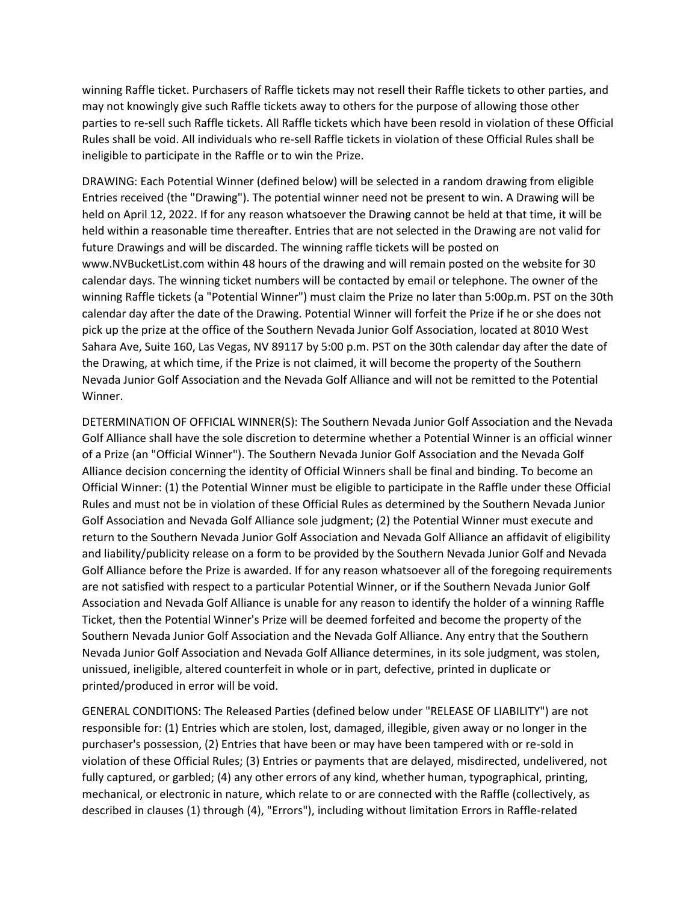winning Raffle ticket. Purchasers of Raffle tickets may not resell their Raffle tickets to other parties, and may not knowingly give such Raffle tickets away to others for the purpose of allowing those other parties to re-sell such Raffle tickets. All Raffle tickets which have been resold in violation of these Official Rules shall be void. All individuals who re-sell Raffle tickets in violation of these Official Rules shall be ineligible to participate in the Raffle or to win the Prize.

DRAWING: Each Potential Winner (defined below) will be selected in a random drawing from eligible Entries received (the "Drawing"). The potential winner need not be present to win. A Drawing will be held on April 12, 2022. If for any reason whatsoever the Drawing cannot be held at that time, it will be held within a reasonable time thereafter. Entries that are not selected in the Drawing are not valid for future Drawings and will be discarded. The winning raffle tickets will be posted on www.NVBucketList.com within 48 hours of the drawing and will remain posted on the website for 30 calendar days. The winning ticket numbers will be contacted by email or telephone. The owner of the winning Raffle tickets (a "Potential Winner") must claim the Prize no later than 5:00p.m. PST on the 30th calendar day after the date of the Drawing. Potential Winner will forfeit the Prize if he or she does not pick up the prize at the office of the Southern Nevada Junior Golf Association, located at 8010 West Sahara Ave, Suite 160, Las Vegas, NV 89117 by 5:00 p.m. PST on the 30th calendar day after the date of the Drawing, at which time, if the Prize is not claimed, it will become the property of the Southern Nevada Junior Golf Association and the Nevada Golf Alliance and will not be remitted to the Potential Winner.

DETERMINATION OF OFFICIAL WINNER(S): The Southern Nevada Junior Golf Association and the Nevada Golf Alliance shall have the sole discretion to determine whether a Potential Winner is an official winner of a Prize (an "Official Winner"). The Southern Nevada Junior Golf Association and the Nevada Golf Alliance decision concerning the identity of Official Winners shall be final and binding. To become an Official Winner: (1) the Potential Winner must be eligible to participate in the Raffle under these Official Rules and must not be in violation of these Official Rules as determined by the Southern Nevada Junior Golf Association and Nevada Golf Alliance sole judgment; (2) the Potential Winner must execute and return to the Southern Nevada Junior Golf Association and Nevada Golf Alliance an affidavit of eligibility and liability/publicity release on a form to be provided by the Southern Nevada Junior Golf and Nevada Golf Alliance before the Prize is awarded. If for any reason whatsoever all of the foregoing requirements are not satisfied with respect to a particular Potential Winner, or if the Southern Nevada Junior Golf Association and Nevada Golf Alliance is unable for any reason to identify the holder of a winning Raffle Ticket, then the Potential Winner's Prize will be deemed forfeited and become the property of the Southern Nevada Junior Golf Association and the Nevada Golf Alliance. Any entry that the Southern Nevada Junior Golf Association and Nevada Golf Alliance determines, in its sole judgment, was stolen, unissued, ineligible, altered counterfeit in whole or in part, defective, printed in duplicate or printed/produced in error will be void.

GENERAL CONDITIONS: The Released Parties (defined below under "RELEASE OF LIABILITY") are not responsible for: (1) Entries which are stolen, lost, damaged, illegible, given away or no longer in the purchaser's possession, (2) Entries that have been or may have been tampered with or re-sold in violation of these Official Rules; (3) Entries or payments that are delayed, misdirected, undelivered, not fully captured, or garbled; (4) any other errors of any kind, whether human, typographical, printing, mechanical, or electronic in nature, which relate to or are connected with the Raffle (collectively, as described in clauses (1) through (4), "Errors"), including without limitation Errors in Raffle-related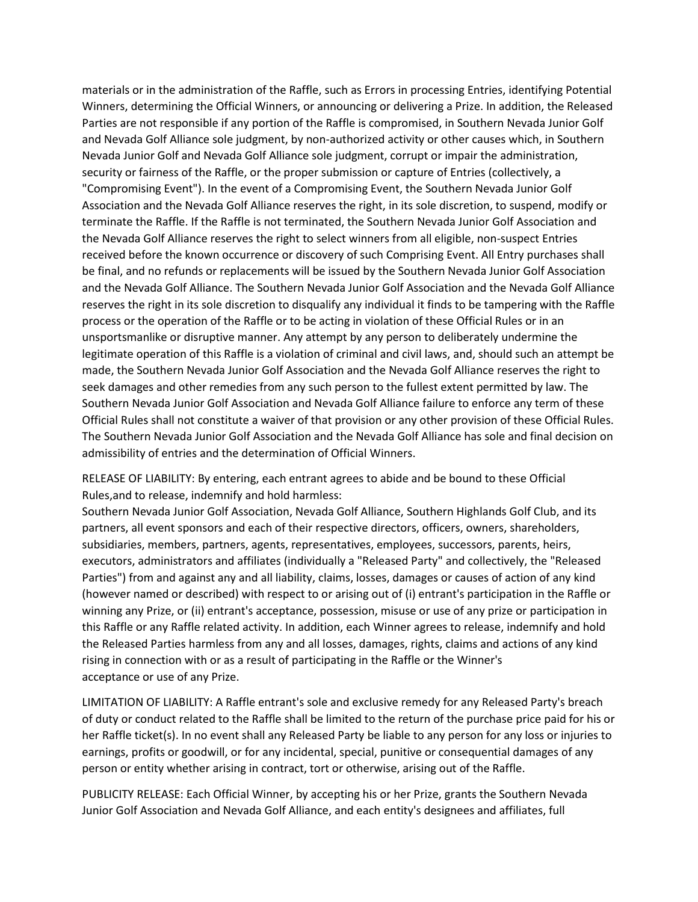materials or in the administration of the Raffle, such as Errors in processing Entries, identifying Potential Winners, determining the Official Winners, or announcing or delivering a Prize. In addition, the Released Parties are not responsible if any portion of the Raffle is compromised, in Southern Nevada Junior Golf and Nevada Golf Alliance sole judgment, by non-authorized activity or other causes which, in Southern Nevada Junior Golf and Nevada Golf Alliance sole judgment, corrupt or impair the administration, security or fairness of the Raffle, or the proper submission or capture of Entries (collectively, a "Compromising Event"). In the event of a Compromising Event, the Southern Nevada Junior Golf Association and the Nevada Golf Alliance reserves the right, in its sole discretion, to suspend, modify or terminate the Raffle. If the Raffle is not terminated, the Southern Nevada Junior Golf Association and the Nevada Golf Alliance reserves the right to select winners from all eligible, non-suspect Entries received before the known occurrence or discovery of such Comprising Event. All Entry purchases shall be final, and no refunds or replacements will be issued by the Southern Nevada Junior Golf Association and the Nevada Golf Alliance. The Southern Nevada Junior Golf Association and the Nevada Golf Alliance reserves the right in its sole discretion to disqualify any individual it finds to be tampering with the Raffle process or the operation of the Raffle or to be acting in violation of these Official Rules or in an unsportsmanlike or disruptive manner. Any attempt by any person to deliberately undermine the legitimate operation of this Raffle is a violation of criminal and civil laws, and, should such an attempt be made, the Southern Nevada Junior Golf Association and the Nevada Golf Alliance reserves the right to seek damages and other remedies from any such person to the fullest extent permitted by law. The Southern Nevada Junior Golf Association and Nevada Golf Alliance failure to enforce any term of these Official Rules shall not constitute a waiver of that provision or any other provision of these Official Rules. The Southern Nevada Junior Golf Association and the Nevada Golf Alliance has sole and final decision on admissibility of entries and the determination of Official Winners.

RELEASE OF LIABILITY: By entering, each entrant agrees to abide and be bound to these Official Rules,and to release, indemnify and hold harmless:

Southern Nevada Junior Golf Association, Nevada Golf Alliance, Southern Highlands Golf Club, and its partners, all event sponsors and each of their respective directors, officers, owners, shareholders, subsidiaries, members, partners, agents, representatives, employees, successors, parents, heirs, executors, administrators and affiliates (individually a "Released Party" and collectively, the "Released Parties") from and against any and all liability, claims, losses, damages or causes of action of any kind (however named or described) with respect to or arising out of (i) entrant's participation in the Raffle or winning any Prize, or (ii) entrant's acceptance, possession, misuse or use of any prize or participation in this Raffle or any Raffle related activity. In addition, each Winner agrees to release, indemnify and hold the Released Parties harmless from any and all losses, damages, rights, claims and actions of any kind rising in connection with or as a result of participating in the Raffle or the Winner's acceptance or use of any Prize.

LIMITATION OF LIABILITY: A Raffle entrant's sole and exclusive remedy for any Released Party's breach of duty or conduct related to the Raffle shall be limited to the return of the purchase price paid for his or her Raffle ticket(s). In no event shall any Released Party be liable to any person for any loss or injuries to earnings, profits or goodwill, or for any incidental, special, punitive or consequential damages of any person or entity whether arising in contract, tort or otherwise, arising out of the Raffle.

PUBLICITY RELEASE: Each Official Winner, by accepting his or her Prize, grants the Southern Nevada Junior Golf Association and Nevada Golf Alliance, and each entity's designees and affiliates, full